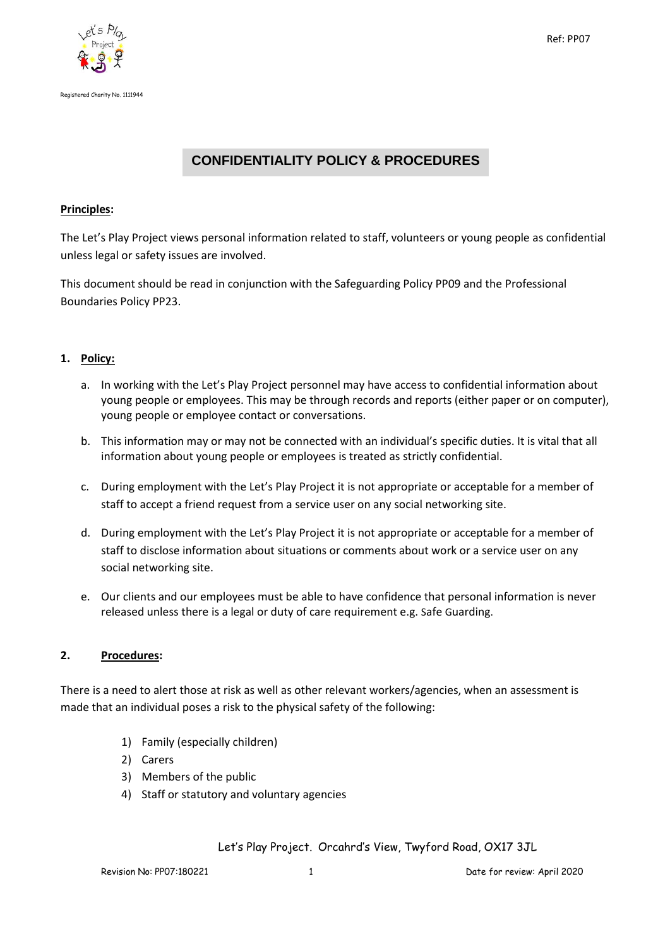



# **CONFIDENTIALITY POLICY & PROCEDURES**

# **Principles:**

The Let's Play Project views personal information related to staff, volunteers or young people as confidential unless legal or safety issues are involved.

This document should be read in conjunction with the Safeguarding Policy PP09 and the Professional Boundaries Policy PP23.

# **1. Policy:**

- a. In working with the Let's Play Project personnel may have access to confidential information about young people or employees. This may be through records and reports (either paper or on computer), young people or employee contact or conversations.
- b. This information may or may not be connected with an individual's specific duties. It is vital that all information about young people or employees is treated as strictly confidential.
- c. During employment with the Let's Play Project it is not appropriate or acceptable for a member of staff to accept a friend request from a service user on any social networking site.
- d. During employment with the Let's Play Project it is not appropriate or acceptable for a member of staff to disclose information about situations or comments about work or a service user on any social networking site.
- e. Our clients and our employees must be able to have confidence that personal information is never released unless there is a legal or duty of care requirement e.g. Safe Guarding.

#### **2. Procedures:**

There is a need to alert those at risk as well as other relevant workers/agencies, when an assessment is made that an individual poses a risk to the physical safety of the following:

- 1) Family (especially children)
- 2) Carers
- 3) Members of the public
- 4) Staff or statutory and voluntary agencies

Let's Play Project. Orcahrd's View, Twyford Road, OX17 3JL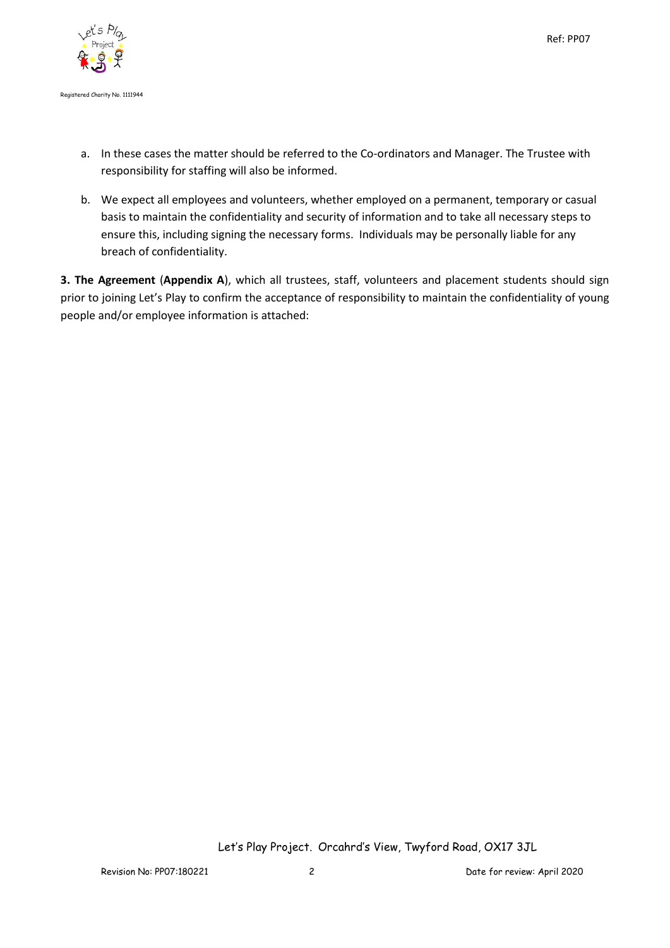

- a. In these cases the matter should be referred to the Co-ordinators and Manager. The Trustee with responsibility for staffing will also be informed.
- b. We expect all employees and volunteers, whether employed on a permanent, temporary or casual basis to maintain the confidentiality and security of information and to take all necessary steps to ensure this, including signing the necessary forms. Individuals may be personally liable for any breach of confidentiality.

**3. The Agreement** (**Appendix A**), which all trustees, staff, volunteers and placement students should sign prior to joining Let's Play to confirm the acceptance of responsibility to maintain the confidentiality of young people and/or employee information is attached:

Let's Play Project. Orcahrd's View, Twyford Road, OX17 3JL